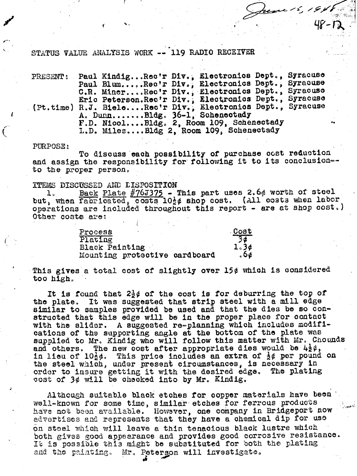STATUS VALUE ANALYSIS WORK -- 119 RADIO RECEIVER

Paul Kindig... Rec'r Div., Electronics Dept., Syracuse PRESENT: Paul Blum.....Rec'r Div., Electronics Dept., Syracuse C.R. Miner...Rec'r Div., Electronics Dept., Syracuse<br>Eric Peterson.Rec'r Div., Electronics Dept., Syracuse<br>(Pt.time) R.J. Biele....Rec'r Div., Electronics Dept., Syracuse<br>A. Dunn.......Bldg. 36-1, Schenectady F.D. Nicol....Bldg. 2, Room 109, Schenectady L.D. Miles....Bldg 2, Room 109, Schenectady

June 15, 191.

## PURPOSE:

To discuss each possibility of purchase ocst reduction and assign the responsibility for following it to its conclusion-to the proper person.

## **TTEMS DISCUSSED AND LISPOSITION**

1. Back Plate  $\#76J375$  - This part uses 2.6% worth of steel<br>but, when fabricated, costs  $10\frac{1}{2}\phi$  shop cost. (All costs when labor operations are included throughout this report - are at shop cost.) Other costs are:

| Process                       | Cost |
|-------------------------------|------|
| Plating                       |      |
| Black Painting                | 1.36 |
| Mounting protective cardboard |      |

This gives a total cost of slightly over 15¢ which is considered too high.

It is found that  $2\frac{1}{2}\phi$  of the cost is for deburring the top of the plate. It was suggested that strip steel with a mill edge similar to samples provided be used and that the dies be so constructed that this edge will be in the proper place for contact with the slider. A suggested re-planning which includes modifications of the supporting angle at the bottom of the plate was supplied to Mr. Kindig who will follow this matter with Mr. Chounds and others. The new cost after appropriate dies would be  $4\frac{1}{2}\phi$ , in lieu of  $10\frac{1}{2}\phi$ . This price includes an extra of  $\frac{1}{2}\phi$  per pound on the steel which, under present circumstances, is necessary in order to insure getting it with the desired edge. The plating cost of 3¢ will be checked into by Mr. Kindig.

Although suitable black etches for copper materials have been well-known for some time, similar etches for ferrous products have not been available. However, one company in Bridgeport now advertises and represents that they have a chemical dip for use on steel which will leave a thin tenacious black lustre which both gives good appearance and provides good corrosive resistance. It is possible this might be substituted for both the plating and the painting. Mr. Peterson will investigate.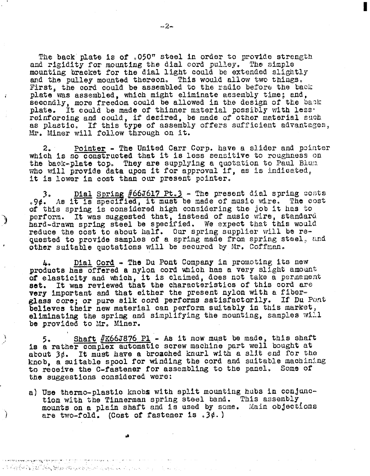The back **plate is** of **,050"** steel in order **to** provide **strength**  and rigidity for mounting the dial cord pulley. The simple mounting bracket for the dial light could be extended slightly **mad the** pulley mounted thereon, **This wou1.d allow two things,**  First, the cord could be assembled to the radio before the back plate was assembled, which might eliminate assembly time; and, secondly, more freedom could be allowed in the design of the back **plate,** It **could** be **made** of thimer msterial **possibly with lass**reinforoing and could, if desired, be made of other material such as plastic. If this type of assembly offers sufficient advantages, Mr. Miner will follow through on it.

**2.** Pointer - The United Carr Corp. have a slider and pointer which is so constructed that it is less sensitive to roughness on the back-plate top. They are supplying a quotation to Paul Blum **zho** will **provide data upon it for** approval **if, as 1s indicated, it is lower in cost than** our present pointer, 2. Pointer - The United Carr Corp. have a slider and pointer<br>which is so constructed that it is less sensitive to roughness on<br>the back-plate top. They are supplying a quotation to Paul Blum<br>who will provide data upon it

of this spring is considered high considering the job it has to perform. It was suggested that, instead of music wire, standard **reduce the** cost **to** about **half.** Ollr **spring supplier** will **be** ra**quested to provide samples of a spring made from spring steel, and other suitable quotations will be secured by Mr. Coffman.** herd-drawn spring steel be specified. We expect that this would<br>reduce the cost to about half. Our spring supplier will be re-<br>quested to provide samples of a spring made from spring steel, a<br>other suitable quotations will

products has offered a nylon cord which has a very slight amount of elasticity and which, it is claimed, does not take a permanent **set.** It **was** reviewed **that** the **characteristics of this** cord are very inportant **ad that either the** present **nylon with a fiborglass** core; **or** pure **silk cord** performs satisfaotorily. **If** Du Pcmt believes their **new material** can perform **suitably** in **this** market, eliminating the spring and simplifying the mounting, samples will **be** provf **ded to** *Xr,* **Miner.** 

**5e Shaft** *#~663876* **P1** - **As it now** must **be made, this shaft**  is a rather complex automatic screw machine part well bought at **&out 2#. It** must have **a broached** knurl **with <sup>a</sup>slit** end **for tho**  knob, a suitable spool for winding the cord and suitable machining **to** receive the C-fastener for assembling to the panel, **Some 0% the suggestions** considered were:

'4

-)

a) Use thermo-plastic knobs with split mounting hubs in conjunction with the Tinnerman spring steel band. This assembly mounts on a **plein shaft** and is used by **some.** Xain objections are two-fold. (Cost of fastener is .3¢.)

**A8** 

a distribuições assignants este definito di administrativam este completam com este a completam a completam es A Bang California & California & California & California and a companion of the companion of the companion of the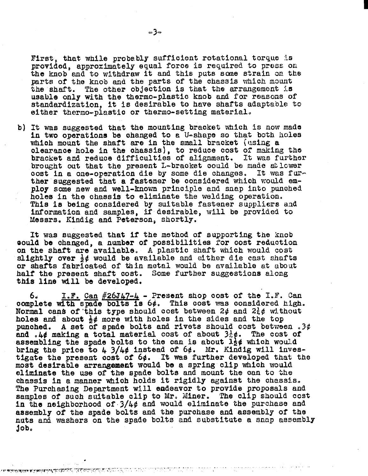First, that while probably sufficient rotational torque is provided, approximately equal force is required to press on the knob and to withdraw it and this puts some strain on the parts of the knob and the parts of the chassis which mount the shaft. The other objection is that the arrangement is **usable** only **with** the thermo-plastic **knob** and for **reasoas** of standardization, **it is desirable to** have **shafts adaptable to sf ther** therno-plastio **or** therao-sett **ing material,** 

b) It **was** auggested that the mounting **braoket which is** now **mde**  in two operations be **ohawed** to **e** U-shape so **that both holes**  whish mount **the** shaft **are in** the small **bracket [using** a olearmoe **hole** in the **ohassis), to reduce** cost of making the bracket and reduoe difficulties of alignment. **3t was** furbher brought out that the present L-bracket could be made at lower cost in a one-operation die by some die changes. It was furoost in a one-operation die by some die changes. ther **auggested that** a **fastener** be **oonsidered whloh** would employ **some** new and **well-known principle and snap into puohed** holaa **in the** chassis **to** eliminate the **welding** operation. This is being considered by suitable fastener suppliers and informatfon and **samples,** if desirable, will be provided to **Xessrs, Kindig and** Peterson, shortly.

It was suggested that if the method of supporting the knob **ebould be** changed, **a number of** possibilities for **oost redustlon on the shaft are** available, **A plastio** shaft which **would cos%**  slightly over  $\frac{1}{2}\phi$  would be available and either die cast shafts or shafts **fabrioated** of **thin metal** would **be** available at about half the preaeat **shaft cost, Some f urthes suggestions along**  this line will be developed.

**<sup>60</sup>I.F. Can #265&7-4** - Present shop oost of' the **I.F. Can**  oomplete **wirspade** bolts Is *68.* **This** cost **was** oonsidared **high, Normal cans of this type should cost between**  $2\phi$  **and**  $2\frac{1}{6}\phi$  **without holes and about**  $\frac{1}{2}\phi$  **more with holes in the sides and the top** holes **and abou\* \$6** more **with holes** In **the sides** and **the** top punohed. A **set** of **spade** bolts **and** rivets should cost **between .3#**  punched. A set of spade bolts and rivets should cost between.<br>and .4¢ making a total material cost of about  $3\frac{1}{6}\phi$ . The cost of and  $.4\phi$  making a total material cost of about  $3\frac{1}{6}\phi$ . The cost of assembling the spade bolts to the can is about  $1\frac{1}{2}\phi$  which would bring the price to 4 3/46 **instead** of **64, Mr.** Kindig will **inuea**tlgate the present oost **of 64. It was further developed that the**  most desirable arrangement would be a spring clip which would eliminate the use of the spade bolts and mount the can to the chassis in a manner **whioh holds** it rigidly **against** the **ohassis, The Purchasing** Departmeat will endeavor to **provide proposals and samples** of suoh suitable **clip to Mr,** Xiner, The **clip** should **cost**  in the neighborhood of **3/4#** and **would eliminate the purchase and**  assembly of **the spade** bolts and the **purohase** and **assembly of** the **nuts aniz on the spade bolts** and substitute a **snap assembly**  job,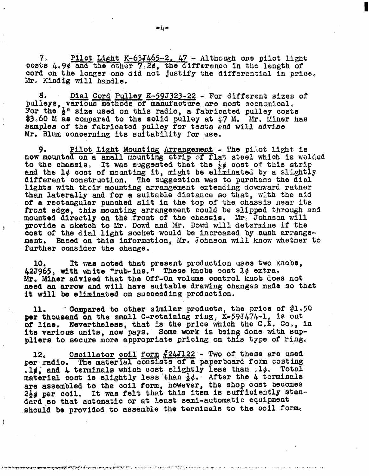Pilot Light  $K-63J465-2$ ,  $47$  - Although one pilot light 7. costs 4.9¢ and the other 7.2¢, the difference in the length of cord on the longer one did not justify the differential in price. Mr. Kindig will handle.

Dial Cord Pulley K-59J323-22 - For different sizes of 8. pulleys, various methods of manufacture are most economical. For the  $\frac{1}{2}$ " size used on this radio, a fabricated pulley costs  $$3.60$  M as compared to the solid pulley at  $$7$  M. Mr. Miner has samples of the fabricated pulley for tests and will advise Mr. Blum concerning its suitability for use.

9. Pilot Light Mounting Arrangement - The pilot light is now mounted on a small mounting strip of flat steel which is welded to the chassis. It was suggested that the  $\frac{1}{2}$ ¢ cost of this strip and the  $1\ell$  cost of mounting it, might be eliminated by a slightly different construction. The suggestion was to purchase the dial lights with their mounting arrangement extending downward rather than laterally and for a suitable distance so that, with the aid of a rectangular punched slit in the top of the chassis near its front edge, this mounting arrangement could be slipped through and mounted directly on the front of the chassis. Mr. Johnson will provide a sketch to Mr. Dowd and Mr. Dowd will determine if the cost of the dial light socket would be increased by auch arrangement. Based on this information, Mr. Johnson will know whether to further consider the change.

It was noted that present production uses two knobs, 10. 42J965, with white "rub-ins." These knobs cost l¢ extra. Mr. Miner advised that the Off-On volume control knob does not need an arrow and will have suitable drawing changes made so that it will be eliminated on succeeding production.

Compared to other similar products, the price of  $\$1,50$ 11. per thousand on the small C-retaining ring, K-59J474-1, is out of line. Nevertheless, that is the price which the G.E. Co., in its various units, now pays. Some work is being done with suppliers to secure more appropriate pricing on this type of ring.

Oscillator coil form  $\frac{\#24J122}{}$  - Two of these are used 12. The material consists of a paperboard form costing per radio. .1¢, and  $L$  terminals which cost slightly less than .1¢. Total material cost is slightly less than  $\frac{1}{2}\ell$ . After the 4 terminals are assembled to the coil form, however, the shop cost becomes 2} / per coil. It was felt that this item is sufficiently standard so that automatic or at least semi-automatic equipment should be provided to assemble the terminals to the coil form.

**চিনাৰ সিংহাদেশৰ প্ৰস্কুৰ সৰ্ব্যাপশা সংগ্ৰামী** সময় কাৰ্যালয় চেনা ব্ৰাপনা শাখা সংগ্ৰামী কৰি যায়। প্ৰস্তুত প্ৰস্

ŧ